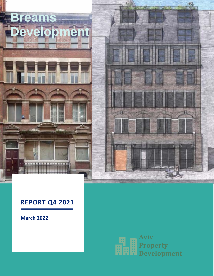



#### **REPORT Q4 2021**

I.

**March 2022**

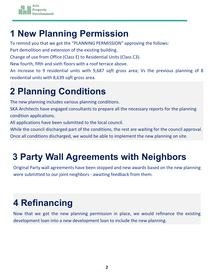

### **1 New Planning Permission**

To remind you that we got the "PLANNING PERMISSION" approving the follows:

Part demolition and extension of the existing building.

Change of use from Office (Class E) to Residential Units (Class C3).

New fourth, fifth and sixth floors with a roof terrace above.

An increase to 9 residential units with 9,687 sqft gross area; Vs the previous planning of 8 residential units with 8,639 sqft gross area.

## **2 Planning Conditions**

The new planning includes various planning conditions.

SKA Architects have engaged consultants to prepare all the necessary reports for the planning condition applications.

All applications have been submitted to the local council.

While the council discharged part of the conditions, the rest are waiting for the council approval. Once all conditions discharged, we would be able to implement the new planning on site.

# **3 Party Wall Agreements with Neighbors**

Original Party wall agreements have been stopped and new awards based on the new planning were submitted to our joint neighbors - awaiting feedback from them.

## **4 Refinancing**

Now that we got the new planning permission in place, we would refinance the existing development loan into a new development loan to include the new planning.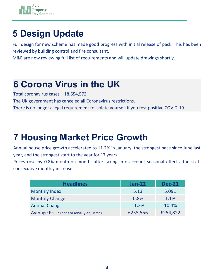

#### **5 Design Update**

Full design for new scheme has made good progress with initial release of pack. This has been reviewed by building control and fire consultant.

M&E are now reviewing full list of requirements and will update drawings shortly.

#### **6 Corona Virus in the UK**

Total coronavirus cases – 18,654,572. The UK government has canceled all Coronavirus restrictions. There is no longer a legal requirement to isolate yourself if you test positive COVID-19.

#### **7 Housing Market Price Growth**

Annual house price growth accelerated to 11.2% in January, the strongest pace since June last year, and the strongest start to the year for 17 years.

Prices rose by 0.8% month-on-month, after taking into account seasonal effects, the sixth consecutive monthly increase.

| <b>Headlines</b>                        | Jan-22   | <b>Dec-21</b> |  |
|-----------------------------------------|----------|---------------|--|
| <b>Monthly Index</b>                    | 5.13     | 5.091         |  |
| <b>Monthly Change</b>                   | 0.8%     | 1.1%          |  |
| <b>Annual Chang</b>                     | 11.2%    | 10.4%         |  |
| Average Price (not seasonally adjusted) | £255,556 | £254,822      |  |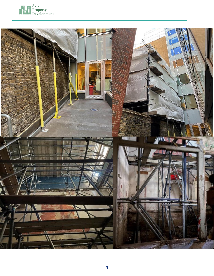